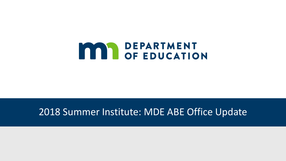

### 2018 Summer Institute: MDE ABE Office Update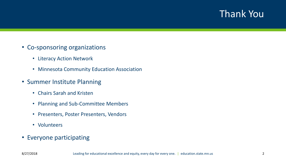### Thank You

- Co-sponsoring organizations
	- Literacy Action Network
	- Minnesota Community Education Association
- Summer Institute Planning
	- Chairs Sarah and Kristen
	- Planning and Sub-Committee Members
	- Presenters, Poster Presenters, Vendors
	- Volunteers
- Everyone participating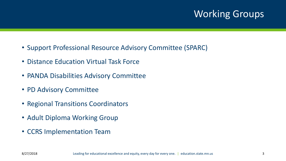### Working Groups

- Support Professional Resource Advisory Committee (SPARC)
- Distance Education Virtual Task Force
- PANDA Disabilities Advisory Committee
- PD Advisory Committee
- Regional Transitions Coordinators
- Adult Diploma Working Group
- CCRS Implementation Team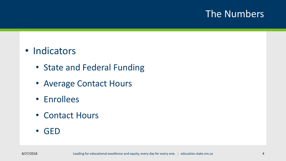### The Numbers

### • Indicators

- State and Federal Funding
- Average Contact Hours
- Enrollees
- Contact Hours
- GED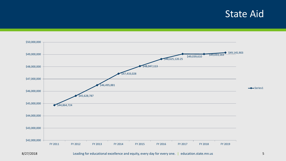### **State Aid**

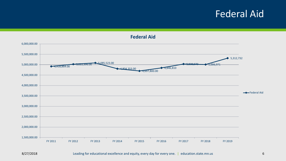### Federal Aid

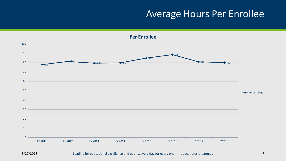### Average Hours Per Enrollee

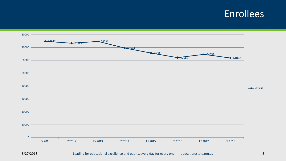### Enrollees

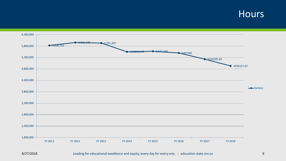#### **Hours**

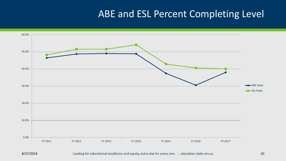### ABE and ESL Percent Completing Level

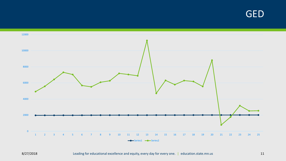GED

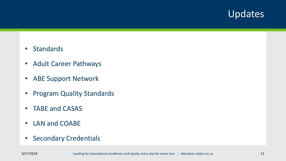### Updates

- Standards
- Adult Career Pathways
- ABE Support Network
- Program Quality Standards
- TABE and CASAS
- LAN and COABE
- Secondary Credentials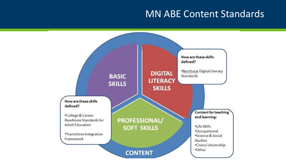### MN ABE Content Standards

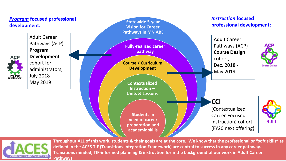



**Throughout ALL of this work, students & their goals are at the core. We know that the professional or "soft skills" as defined in the ACES TIF (Transitions Integration Framework) are central to success in any career pathway. Transitions minded, TIF-informed planning & instruction form the background of our work in Adult Career Pathways.**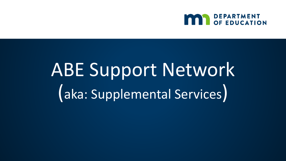

## ABE Support Network (aka: Supplemental Services)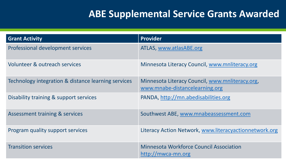### **ABE Supplemental Service Grants Awarded**

| <b>Grant Activity</b>                               | <b>Provider</b>                                                                   |
|-----------------------------------------------------|-----------------------------------------------------------------------------------|
| Professional development services                   | ATLAS, www.atlasABE.org                                                           |
| Volunteer & outreach services                       | Minnesota Literacy Council, www.mnliteracy.org                                    |
| Technology integration & distance learning services | Minnesota Literacy Council, www.mnliteracy.org,<br>www.mnabe-distancelearning.org |
| Disability training & support services              | PANDA, http://mn.abedisabilities.org                                              |
| <b>Assessment training &amp; services</b>           | Southwest ABE, www.mnabeassessment.com                                            |
| Program quality support services                    | Literacy Action Network, www.literacyactionnetwork.org                            |
| <b>Transition services</b>                          | <b>Minnesota Workforce Council Association</b><br>http://mwca-mn.org              |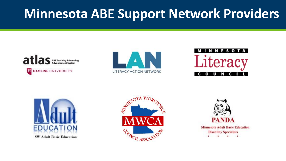### **Minnesota ABE Support Network Providers**











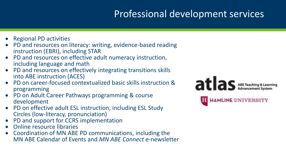### Professional development services

- Regional PD activities
- PD and resources on literacy: writing, evidence-based reading instruction (EBRI), including STAR
- PD and resources on effective adult numeracy instruction, including language and math
- PD and resources on effectively integrating transitions skills into ABE instruction (ACES)
- PD on career-focused contextualized basic skills instruction & programming
- PD on Adult Career Pathways programming & course development
- PD on effective adult ESL instruction, including ESL Study Circles (low-literacy, pronunciation)
- PD and support for CCRS implementation
- Online resource libraries
- Coordination of MN ABE PD communications, including the MN ABE Calendar of Events and *MN ABE Connect* e-newsletter

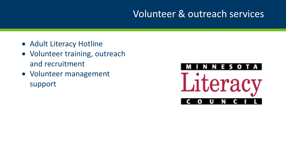### Volunteer & outreach services

- Adult Literacy Hotline
- Volunteer training, outreach and recruitment
- Volunteer management support

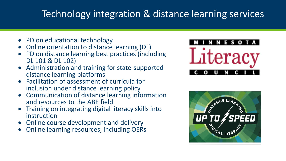### Technology integration & distance learning services

- PD on educational technology
- Online orientation to distance learning (DL)
- PD on distance learning best practices (including DL 101 & DL 102)
- Administration and training for state-supported distance learning platforms
- Facilitation of assessment of curricula for inclusion under distance learning policy
- Communication of distance learning information and resources to the ABE field
- Training on integrating digital literacy skills into instruction
- Online course development and delivery
- Online learning resources, including OERs



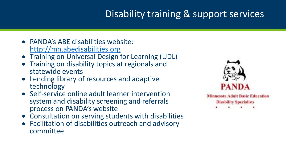### Disability training & support services

- PANDA's ABE disabilities website: [http://mn.abedisabilities.org](http://mn.abedisabilities.org/)
- **Training on Universal Design for Learning (UDL)**
- Training on disability topics at regionals and statewide events
- Lending library of resources and adaptive technology
- Self-service online adult learner intervention system and disability screening and referrals process on PANDA's website
- Consultation on serving students with disabilities
- Facilitation of disabilities outreach and advisory committee

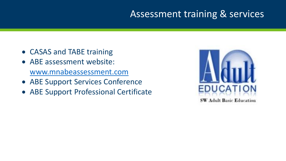### Assessment training & services

- CASAS and TABE training
- ABE assessment website: [www.mnabeassessment.com](http://www.mnabeassessment.com/)
- ABE Support Services Conference
- ABE Support Professional Certificate

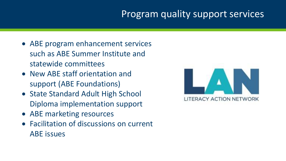### Program quality support services

- ABE program enhancement services such as ABE Summer Institute and statewide committees
- New ABE staff orientation and support (ABE Foundations)
- State Standard Adult High School Diploma implementation support
- ABE marketing resources
- Facilitation of discussions on current ABE issues

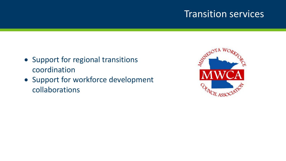### Transition services

- Support for regional transitions coordination
- Support for workforce development collaborations

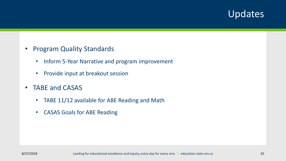### Updates

- Program Quality Standards
	- Inform 5-Year Narrative and program improvement
	- Provide input at breakout session
- TABE and CASAS
	- TABE 11/12 available for ABE Reading and Math
	- CASAS Goals for ABE Reading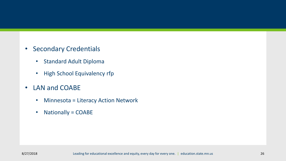- Secondary Credentials
	- Standard Adult Diploma
	- High School Equivalency rfp
- LAN and COABE
	- Minnesota = Literacy Action Network
	- Nationally = COABE